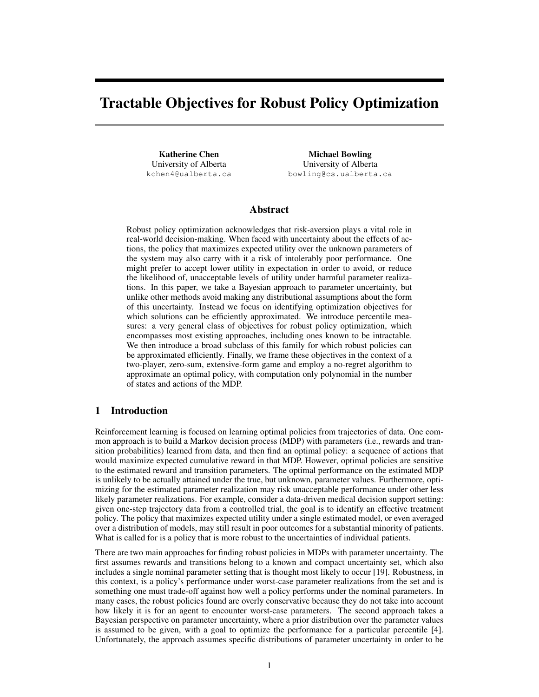# Tractable Objectives for Robust Policy Optimization

Katherine Chen University of Alberta kchen4@ualberta.ca

Michael Bowling University of Alberta bowling@cs.ualberta.ca

# Abstract

Robust policy optimization acknowledges that risk-aversion plays a vital role in real-world decision-making. When faced with uncertainty about the effects of actions, the policy that maximizes expected utility over the unknown parameters of the system may also carry with it a risk of intolerably poor performance. One might prefer to accept lower utility in expectation in order to avoid, or reduce the likelihood of, unacceptable levels of utility under harmful parameter realizations. In this paper, we take a Bayesian approach to parameter uncertainty, but unlike other methods avoid making any distributional assumptions about the form of this uncertainty. Instead we focus on identifying optimization objectives for which solutions can be efficiently approximated. We introduce percentile measures: a very general class of objectives for robust policy optimization, which encompasses most existing approaches, including ones known to be intractable. We then introduce a broad subclass of this family for which robust policies can be approximated efficiently. Finally, we frame these objectives in the context of a two-player, zero-sum, extensive-form game and employ a no-regret algorithm to approximate an optimal policy, with computation only polynomial in the number of states and actions of the MDP.

## 1 Introduction

Reinforcement learning is focused on learning optimal policies from trajectories of data. One common approach is to build a Markov decision process (MDP) with parameters (i.e., rewards and transition probabilities) learned from data, and then find an optimal policy: a sequence of actions that would maximize expected cumulative reward in that MDP. However, optimal policies are sensitive to the estimated reward and transition parameters. The optimal performance on the estimated MDP is unlikely to be actually attained under the true, but unknown, parameter values. Furthermore, optimizing for the estimated parameter realization may risk unacceptable performance under other less likely parameter realizations. For example, consider a data-driven medical decision support setting: given one-step trajectory data from a controlled trial, the goal is to identify an effective treatment policy. The policy that maximizes expected utility under a single estimated model, or even averaged over a distribution of models, may still result in poor outcomes for a substantial minority of patients. What is called for is a policy that is more robust to the uncertainties of individual patients.

There are two main approaches for finding robust policies in MDPs with parameter uncertainty. The first assumes rewards and transitions belong to a known and compact uncertainty set, which also includes a single nominal parameter setting that is thought most likely to occur [19]. Robustness, in this context, is a policy's performance under worst-case parameter realizations from the set and is something one must trade-off against how well a policy performs under the nominal parameters. In many cases, the robust policies found are overly conservative because they do not take into account how likely it is for an agent to encounter worst-case parameters. The second approach takes a Bayesian perspective on parameter uncertainty, where a prior distribution over the parameter values is assumed to be given, with a goal to optimize the performance for a particular percentile [4]. Unfortunately, the approach assumes specific distributions of parameter uncertainty in order to be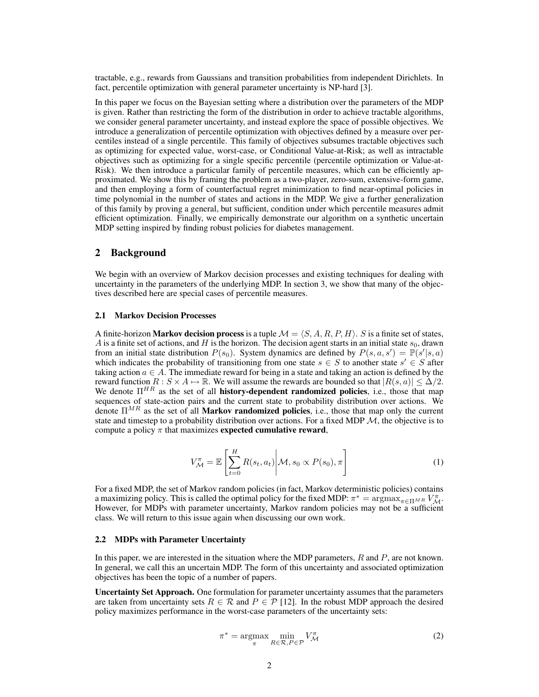tractable, e.g., rewards from Gaussians and transition probabilities from independent Dirichlets. In fact, percentile optimization with general parameter uncertainty is NP-hard [3].

In this paper we focus on the Bayesian setting where a distribution over the parameters of the MDP is given. Rather than restricting the form of the distribution in order to achieve tractable algorithms, we consider general parameter uncertainty, and instead explore the space of possible objectives. We introduce a generalization of percentile optimization with objectives defined by a measure over percentiles instead of a single percentile. This family of objectives subsumes tractable objectives such as optimizing for expected value, worst-case, or Conditional Value-at-Risk; as well as intractable objectives such as optimizing for a single specific percentile (percentile optimization or Value-at-Risk). We then introduce a particular family of percentile measures, which can be efficiently approximated. We show this by framing the problem as a two-player, zero-sum, extensive-form game, and then employing a form of counterfactual regret minimization to find near-optimal policies in time polynomial in the number of states and actions in the MDP. We give a further generalization of this family by proving a general, but sufficient, condition under which percentile measures admit efficient optimization. Finally, we empirically demonstrate our algorithm on a synthetic uncertain MDP setting inspired by finding robust policies for diabetes management.

## 2 Background

We begin with an overview of Markov decision processes and existing techniques for dealing with uncertainty in the parameters of the underlying MDP. In section 3, we show that many of the objectives described here are special cases of percentile measures.

#### 2.1 Markov Decision Processes

A finite-horizon **Markov decision process** is a tuple  $\mathcal{M} = \langle S, A, R, P, H \rangle$ . S is a finite set of states, A is a finite set of actions, and H is the horizon. The decision agent starts in an initial state  $s_0$ , drawn from an initial state distribution  $P(s_0)$ . System dynamics are defined by  $P(s, a, s') = \mathbb{P}(s'|s, a)$ which indicates the probability of transitioning from one state  $s \in S$  to another state  $s' \in S$  after taking action  $a \in A$ . The immediate reward for being in a state and taking an action is defined by the reward function  $R : S \times A \mapsto \mathbb{R}$ . We will assume the rewards are bounded so that  $|R(s, a)| \leq \Delta/2$ . We denote  $\Pi^{HR}$  as the set of all **history-dependent randomized policies**, i.e., those that map sequences of state-action pairs and the current state to probability distribution over actions. We denote  $\Pi^{MR}$  as the set of all **Markov randomized policies**, i.e., those that map only the current state and timestep to a probability distribution over actions. For a fixed MDP  $M$ , the objective is to compute a policy  $\pi$  that maximizes **expected cumulative reward**,

$$
V_{\mathcal{M}}^{\pi} = \mathbb{E}\left[\sum_{t=0}^{H} R(s_t, a_t) \middle| \mathcal{M}, s_0 \propto P(s_0), \pi\right]
$$
 (1)

For a fixed MDP, the set of Markov random policies (in fact, Markov deterministic policies) contains a maximizing policy. This is called the optimal policy for the fixed MDP:  $\pi^* = \arg \max_{\pi \in \Pi^{MR}} V_M^{\pi}$ . However, for MDPs with parameter uncertainty, Markov random policies may not be a sufficient class. We will return to this issue again when discussing our own work.

#### 2.2 MDPs with Parameter Uncertainty

In this paper, we are interested in the situation where the MDP parameters,  $R$  and  $P$ , are not known. In general, we call this an uncertain MDP. The form of this uncertainty and associated optimization objectives has been the topic of a number of papers.

Uncertainty Set Approach. One formulation for parameter uncertainty assumes that the parameters are taken from uncertainty sets  $R \in \mathcal{R}$  and  $P \in \mathcal{P}$  [12]. In the robust MDP approach the desired policy maximizes performance in the worst-case parameters of the uncertainty sets:

$$
\pi^* = \underset{\pi}{\operatorname{argmax}} \min_{R \in \mathcal{R}, P \in \mathcal{P}} V_{\mathcal{M}}^{\pi} \tag{2}
$$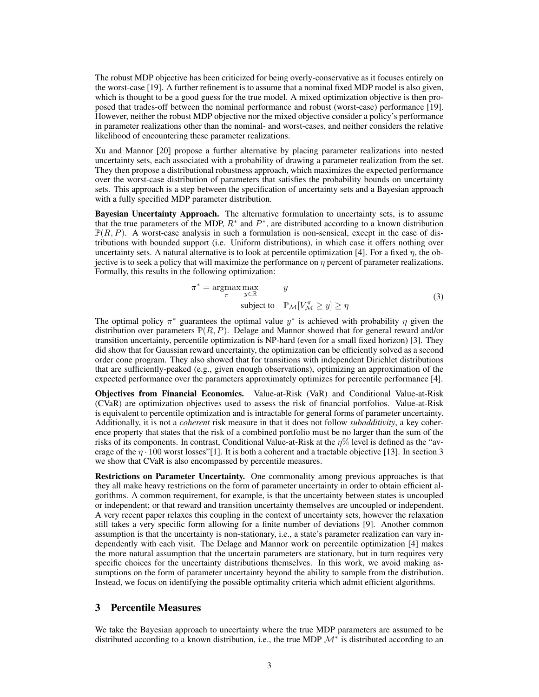The robust MDP objective has been criticized for being overly-conservative as it focuses entirely on the worst-case [19]. A further refinement is to assume that a nominal fixed MDP model is also given, which is thought to be a good guess for the true model. A mixed optimization objective is then proposed that trades-off between the nominal performance and robust (worst-case) performance [19]. However, neither the robust MDP objective nor the mixed objective consider a policy's performance in parameter realizations other than the nominal- and worst-cases, and neither considers the relative likelihood of encountering these parameter realizations.

Xu and Mannor [20] propose a further alternative by placing parameter realizations into nested uncertainty sets, each associated with a probability of drawing a parameter realization from the set. They then propose a distributional robustness approach, which maximizes the expected performance over the worst-case distribution of parameters that satisfies the probability bounds on uncertainty sets. This approach is a step between the specification of uncertainty sets and a Bayesian approach with a fully specified MDP parameter distribution.

Bayesian Uncertainty Approach. The alternative formulation to uncertainty sets, is to assume that the true parameters of the MDP,  $R^*$  and  $P^*$ , are distributed according to a known distribution  $\mathbb{P}(R, P)$ . A worst-case analysis in such a formulation is non-sensical, except in the case of distributions with bounded support (i.e. Uniform distributions), in which case it offers nothing over uncertainty sets. A natural alternative is to look at percentile optimization [4]. For a fixed  $\eta$ , the objective is to seek a policy that will maximize the performance on  $\eta$  percent of parameter realizations. Formally, this results in the following optimization:

$$
\pi^* = \underset{\pi}{\operatorname{argmax}} \max_{y \in \mathbb{R}} \qquad y
$$
  
subject to  $\mathbb{P}_{\mathcal{M}}[V_{\mathcal{M}}^{\pi} \ge y] \ge \eta$  (3)

The optimal policy  $\pi^*$  guarantees the optimal value  $y^*$  is achieved with probability  $\eta$  given the distribution over parameters  $\mathbb{P}(R, P)$ . Delage and Mannor showed that for general reward and/or transition uncertainty, percentile optimization is NP-hard (even for a small fixed horizon) [3]. They did show that for Gaussian reward uncertainty, the optimization can be efficiently solved as a second order cone program. They also showed that for transitions with independent Dirichlet distributions that are sufficiently-peaked (e.g., given enough observations), optimizing an approximation of the expected performance over the parameters approximately optimizes for percentile performance [4].

Objectives from Financial Economics. Value-at-Risk (VaR) and Conditional Value-at-Risk (CVaR) are optimization objectives used to assess the risk of financial portfolios. Value-at-Risk is equivalent to percentile optimization and is intractable for general forms of parameter uncertainty. Additionally, it is not a *coherent* risk measure in that it does not follow *subadditivity*, a key coherence property that states that the risk of a combined portfolio must be no larger than the sum of the risks of its components. In contrast, Conditional Value-at-Risk at the η% level is defined as the "average of the  $\eta \cdot 100$  worst losses"[1]. It is both a coherent and a tractable objective [13]. In section 3 we show that CVaR is also encompassed by percentile measures.

Restrictions on Parameter Uncertainty. One commonality among previous approaches is that they all make heavy restrictions on the form of parameter uncertainty in order to obtain efficient algorithms. A common requirement, for example, is that the uncertainty between states is uncoupled or independent; or that reward and transition uncertainty themselves are uncoupled or independent. A very recent paper relaxes this coupling in the context of uncertainty sets, however the relaxation still takes a very specific form allowing for a finite number of deviations [9]. Another common assumption is that the uncertainty is non-stationary, i.e., a state's parameter realization can vary independently with each visit. The Delage and Mannor work on percentile optimization [4] makes the more natural assumption that the uncertain parameters are stationary, but in turn requires very specific choices for the uncertainty distributions themselves. In this work, we avoid making assumptions on the form of parameter uncertainty beyond the ability to sample from the distribution. Instead, we focus on identifying the possible optimality criteria which admit efficient algorithms.

## 3 Percentile Measures

We take the Bayesian approach to uncertainty where the true MDP parameters are assumed to be distributed according to a known distribution, i.e., the true MDP  $\mathcal{M}^*$  is distributed according to an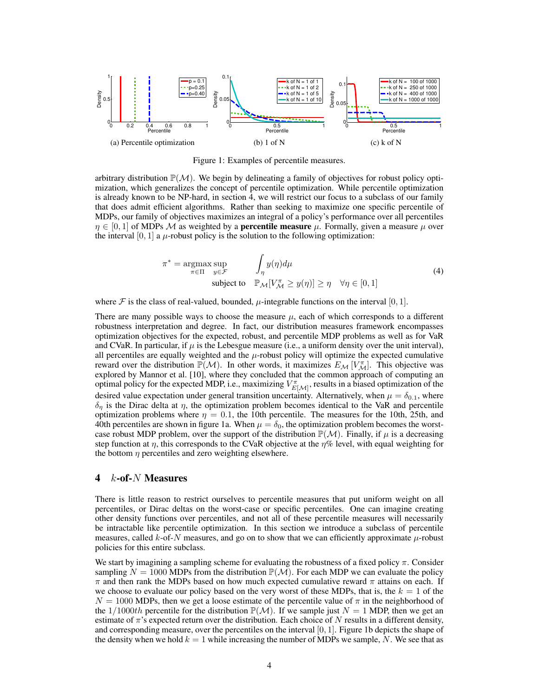

Figure 1: Examples of percentile measures.

arbitrary distribution  $\mathbb{P}(\mathcal{M})$ . We begin by delineating a family of objectives for robust policy optimization, which generalizes the concept of percentile optimization. While percentile optimization is already known to be NP-hard, in section 4, we will restrict our focus to a subclass of our family that does admit efficient algorithms. Rather than seeking to maximize one specific percentile of MDPs, our family of objectives maximizes an integral of a policy's performance over all percentiles  $\eta \in [0,1]$  of MDPs M as weighted by a **percentile measure**  $\mu$ . Formally, given a measure  $\mu$  over the interval [0, 1] a  $\mu$ -robust policy is the solution to the following optimization:

$$
\pi^* = \underset{\pi \in \Pi}{\operatorname{argmax}} \sup_{y \in \mathcal{F}} \qquad \int_{\eta} y(\eta) d\mu
$$
  
subject to  $\mathbb{P}_{\mathcal{M}}[V_{\mathcal{M}}^{\pi} \ge y(\eta)] \ge \eta \quad \forall \eta \in [0, 1]$  (4)

where F is the class of real-valued, bounded,  $\mu$ -integrable functions on the interval [0, 1].

There are many possible ways to choose the measure  $\mu$ , each of which corresponds to a different robustness interpretation and degree. In fact, our distribution measures framework encompasses optimization objectives for the expected, robust, and percentile MDP problems as well as for VaR and CVaR. In particular, if  $\mu$  is the Lebesgue measure (i.e., a uniform density over the unit interval), all percentiles are equally weighted and the  $\mu$ -robust policy will optimize the expected cumulative reward over the distribution  $\mathbb{P}(\mathcal{M})$ . In other words, it maximizes  $E_{\mathcal{M}}[V_{\mathcal{M}}^{\pi}]$ . This objective was explored by Mannor et al. [10], where they concluded that the common approach of computing an optimal policy for the expected MDP, i.e., maximizing  $V_{E[\mathcal{M}]}^{\pi}$ , results in a biased optimization of the desired value expectation under general transition uncertainty. Alternatively, when  $\mu = \delta_{0.1}$ , where  $\delta_{\eta}$  is the Dirac delta at  $\eta$ , the optimization problem becomes identical to the VaR and percentile optimization problems where  $\eta = 0.1$ , the 10th percentile. The measures for the 10th, 25th, and 40th percentiles are shown in figure 1a. When  $\mu = \delta_0$ , the optimization problem becomes the worstcase robust MDP problem, over the support of the distribution  $\mathbb{P}(\mathcal{M})$ . Finally, if  $\mu$  is a decreasing step function at  $\eta$ , this corresponds to the CVaR objective at the  $\eta$ % level, with equal weighting for the bottom  $\eta$  percentiles and zero weighting elsewhere.

## 4 *k*-of-*N* Measures

There is little reason to restrict ourselves to percentile measures that put uniform weight on all percentiles, or Dirac deltas on the worst-case or specific percentiles. One can imagine creating other density functions over percentiles, and not all of these percentile measures will necessarily be intractable like percentile optimization. In this section we introduce a subclass of percentile measures, called  $k$ -of- $N$  measures, and go on to show that we can efficiently approximate  $\mu$ -robust policies for this entire subclass.

We start by imagining a sampling scheme for evaluating the robustness of a fixed policy  $\pi$ . Consider sampling  $N = 1000$  MDPs from the distribution  $\mathbb{P}(\mathcal{M})$ . For each MDP we can evaluate the policy  $\pi$  and then rank the MDPs based on how much expected cumulative reward  $\pi$  attains on each. If we choose to evaluate our policy based on the very worst of these MDPs, that is, the  $k = 1$  of the  $N = 1000$  MDPs, then we get a loose estimate of the percentile value of  $\pi$  in the neighborhood of the  $1/1000th$  percentile for the distribution  $\mathbb{P}(\mathcal{M})$ . If we sample just  $N = 1$  MDP, then we get an estimate of  $\pi$ 's expected return over the distribution. Each choice of N results in a different density, and corresponding measure, over the percentiles on the interval  $[0, 1]$ . Figure 1b depicts the shape of the density when we hold  $k = 1$  while increasing the number of MDPs we sample, N. We see that as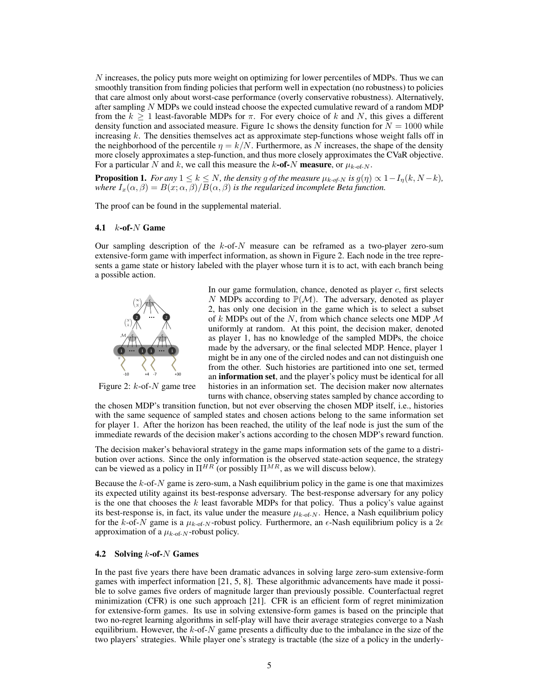N increases, the policy puts more weight on optimizing for lower percentiles of MDPs. Thus we can smoothly transition from finding policies that perform well in expectation (no robustness) to policies that care almost only about worst-case performance (overly conservative robustness). Alternatively, after sampling  $N$  MDPs we could instead choose the expected cumulative reward of a random MDP from the  $k \geq 1$  least-favorable MDPs for  $\pi$ . For every choice of k and N, this gives a different density function and associated measure. Figure 1c shows the density function for  $N = 1000$  while increasing  $k$ . The densities themselves act as approximate step-functions whose weight falls off in the neighborhood of the percentile  $\eta = k/N$ . Furthermore, as N increases, the shape of the density more closely approximates a step-function, and thus more closely approximates the CVaR objective. For a particular N and k, we call this measure the k-of-N measure, or  $\mu_{k\text{-of-}N}$ .

**Proposition 1.** *For any*  $1 \leq k \leq N$ *, the density g of the measure*  $\mu_{k \text{-} of-N}$  *is*  $g(\eta) \propto 1-I_n(k, N-k)$ *, where*  $I_x(\alpha, \beta) = B(x; \alpha, \beta)/B(\alpha, \beta)$  *is the regularized incomplete Beta function.* 

The proof can be found in the supplemental material.

#### 4.1  $k$ -of- $N$  Game

Our sampling description of the  $k$ -of- $N$  measure can be reframed as a two-player zero-sum extensive-form game with imperfect information, as shown in Figure 2. Each node in the tree represents a game state or history labeled with the player whose turn it is to act, with each branch being a possible action.



Figure 2:  $k$ -of- $N$  game tree

In our game formulation, chance, denoted as player  $c$ , first selects N MDPs according to  $\mathbb{P}(\mathcal{M})$ . The adversary, denoted as player 2, has only one decision in the game which is to select a subset of  $k$  MDPs out of the  $N$ , from which chance selects one MDP  $\mathcal M$ uniformly at random. At this point, the decision maker, denoted as player 1, has no knowledge of the sampled MDPs, the choice made by the adversary, or the final selected MDP. Hence, player 1 might be in any one of the circled nodes and can not distinguish one from the other. Such histories are partitioned into one set, termed an information set, and the player's policy must be identical for all histories in an information set. The decision maker now alternates turns with chance, observing states sampled by chance according to

the chosen MDP's transition function, but not ever observing the chosen MDP itself, i.e., histories with the same sequence of sampled states and chosen actions belong to the same information set for player 1. After the horizon has been reached, the utility of the leaf node is just the sum of the immediate rewards of the decision maker's actions according to the chosen MDP's reward function.

The decision maker's behavioral strategy in the game maps information sets of the game to a distribution over actions. Since the only information is the observed state-action sequence, the strategy can be viewed as a policy in  $\Pi^{HR}$  (or possibly  $\Pi^{MR}$ , as we will discuss below).

Because the  $k$ -of- $N$  game is zero-sum, a Nash equilibrium policy in the game is one that maximizes its expected utility against its best-response adversary. The best-response adversary for any policy is the one that chooses the  $k$  least favorable MDPs for that policy. Thus a policy's value against its best-response is, in fact, its value under the measure  $\mu_{k\text{-of-}N}$ . Hence, a Nash equilibrium policy for the k-of-N game is a  $\mu_{k-0}$ - $N$ -robust policy. Furthermore, an  $\epsilon$ -Nash equilibrium policy is a  $2\epsilon$ approximation of a  $\mu_{k\text{-of-}N}$ -robust policy.

#### 4.2 Solving k-of-N Games

In the past five years there have been dramatic advances in solving large zero-sum extensive-form games with imperfect information [21, 5, 8]. These algorithmic advancements have made it possible to solve games five orders of magnitude larger than previously possible. Counterfactual regret minimization (CFR) is one such approach [21]. CFR is an efficient form of regret minimization for extensive-form games. Its use in solving extensive-form games is based on the principle that two no-regret learning algorithms in self-play will have their average strategies converge to a Nash equilibrium. However, the  $k$ -of- $N$  game presents a difficulty due to the imbalance in the size of the two players' strategies. While player one's strategy is tractable (the size of a policy in the underly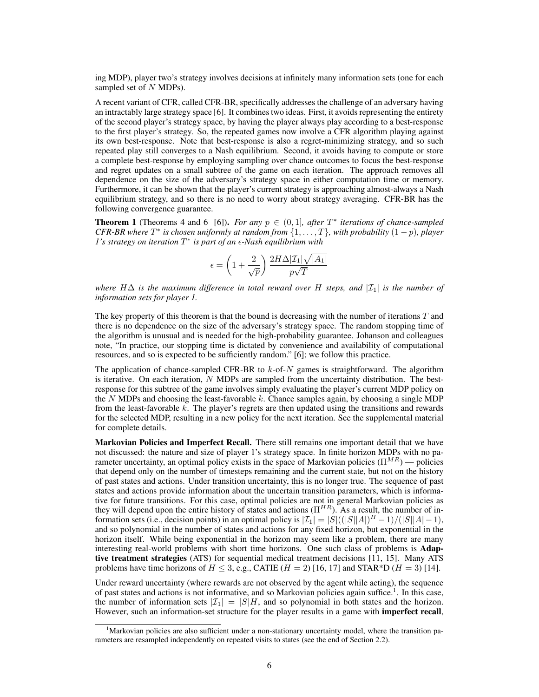ing MDP), player two's strategy involves decisions at infinitely many information sets (one for each sampled set of N MDPs).

A recent variant of CFR, called CFR-BR, specifically addresses the challenge of an adversary having an intractably large strategy space [6]. It combines two ideas. First, it avoids representing the entirety of the second player's strategy space, by having the player always play according to a best-response to the first player's strategy. So, the repeated games now involve a CFR algorithm playing against its own best-response. Note that best-response is also a regret-minimizing strategy, and so such repeated play still converges to a Nash equilibrium. Second, it avoids having to compute or store a complete best-response by employing sampling over chance outcomes to focus the best-response and regret updates on a small subtree of the game on each iteration. The approach removes all dependence on the size of the adversary's strategy space in either computation time or memory. Furthermore, it can be shown that the player's current strategy is approaching almost-always a Nash equilibrium strategy, and so there is no need to worry about strategy averaging. CFR-BR has the following convergence guarantee.

**Theorem 1** (Theorems 4 and 6 [6]). *For any*  $p \in (0,1]$ *, after*  $T^*$  *iterations of chance-sampled CFR-BR where*  $T^*$  *is chosen uniformly at random from*  $\{1, \ldots, T\}$ *, with probability*  $(1-p)$ *, player 1's strategy on iteration*  $T^*$  *is part of an*  $\epsilon$ *-Nash equilibrium with* 

$$
\epsilon = \left(1 + \frac{2}{\sqrt{p}}\right) \frac{2H\Delta |\mathcal{I}_1|\sqrt{|A_1|}}{p\sqrt{T}}
$$

*where*  $H\Delta$  *is the maximum difference in total reward over* H *steps, and*  $\mathcal{I}_1$  *is the number of information sets for player 1.*

The key property of this theorem is that the bound is decreasing with the number of iterations  $T$  and there is no dependence on the size of the adversary's strategy space. The random stopping time of the algorithm is unusual and is needed for the high-probability guarantee. Johanson and colleagues note, "In practice, our stopping time is dictated by convenience and availability of computational resources, and so is expected to be sufficiently random." [6]; we follow this practice.

The application of chance-sampled CFR-BR to  $k$ -of- $N$  games is straightforward. The algorithm is iterative. On each iteration,  $N$  MDPs are sampled from the uncertainty distribution. The bestresponse for this subtree of the game involves simply evaluating the player's current MDP policy on the  $N$  MDPs and choosing the least-favorable k. Chance samples again, by choosing a single MDP from the least-favorable  $k$ . The player's regrets are then updated using the transitions and rewards for the selected MDP, resulting in a new policy for the next iteration. See the supplemental material for complete details.

Markovian Policies and Imperfect Recall. There still remains one important detail that we have not discussed: the nature and size of player 1's strategy space. In finite horizon MDPs with no parameter uncertainty, an optimal policy exists in the space of Markovian policies ( $\Pi^{MR}$ ) — policies that depend only on the number of timesteps remaining and the current state, but not on the history of past states and actions. Under transition uncertainty, this is no longer true. The sequence of past states and actions provide information about the uncertain transition parameters, which is informative for future transitions. For this case, optimal policies are not in general Markovian policies as they will depend upon the entire history of states and actions  $(\Pi^{HR})$ . As a result, the number of information sets (i.e., decision points) in an optimal policy is  $|\mathcal{I}_1| = |S|(|S||A|)|^H - 1/(|S||A| - 1)$ , and so polynomial in the number of states and actions for any fixed horizon, but exponential in the horizon itself. While being exponential in the horizon may seem like a problem, there are many interesting real-world problems with short time horizons. One such class of problems is Adaptive treatment strategies (ATS) for sequential medical treatment decisions [11, 15]. Many ATS problems have time horizons of  $H \leq 3$ , e.g., CATIE  $(H = 2)$  [16, 17] and STAR\*D  $(H = 3)$  [14].

Under reward uncertainty (where rewards are not observed by the agent while acting), the sequence of past states and actions is not informative, and so Markovian policies again suffice.<sup>1</sup>. In this case, the number of information sets  $|\mathcal{I}_1| = |S|H$ , and so polynomial in both states and the horizon. However, such an information-set structure for the player results in a game with imperfect recall,

<sup>&</sup>lt;sup>1</sup>Markovian policies are also sufficient under a non-stationary uncertainty model, where the transition parameters are resampled independently on repeated visits to states (see the end of Section 2.2).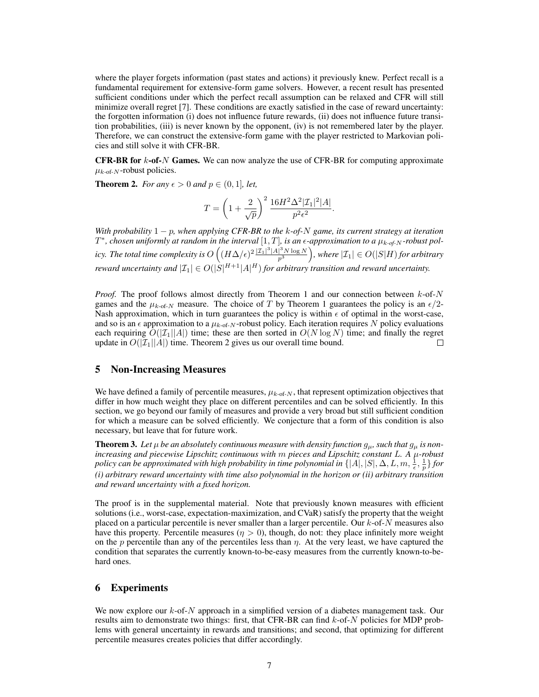where the player forgets information (past states and actions) it previously knew. Perfect recall is a fundamental requirement for extensive-form game solvers. However, a recent result has presented sufficient conditions under which the perfect recall assumption can be relaxed and CFR will still minimize overall regret [7]. These conditions are exactly satisfied in the case of reward uncertainty: the forgotten information (i) does not influence future rewards, (ii) does not influence future transition probabilities, (iii) is never known by the opponent, (iv) is not remembered later by the player. Therefore, we can construct the extensive-form game with the player restricted to Markovian policies and still solve it with CFR-BR.

**CFR-BR for**  $k$ **-of-**N Games. We can now analyze the use of CFR-BR for computing approximate  $\mu_{k\text{-of-}N}$ -robust policies.

**Theorem 2.** *For any*  $\epsilon > 0$  *and*  $p \in (0, 1]$ *, let,* 

$$
T=\left(1+\frac{2}{\sqrt{p}}\right)^2\frac{16H^2\Delta^2|\mathcal{I}_1|^2|A|}{p^2\epsilon^2}.
$$

*With probability* 1 − p*, when applying CFR-BR to the* k*-of-*N *game, its current strategy at iteration*  $T^*$ , chosen uniformly at random in the interval  $[1, T]$ , is an  $\epsilon$ -approximation to a  $\mu_{k \text{-} of N}$ -robust pol*icy. The total time complexity is*  $O\left((H\Delta/\epsilon)^2\frac{|\mathcal{I}_1|^3|A|^3N\log N}{n^3}\right)$  $p^3$  $\Big),$  where  $|\mathcal{I}_1| \in O(|S|H)$  *for arbitrary reward uncertainty and*  $|\mathcal{I}_1| \in O(|S|^{H+1} |A|^H)$  *for arbitrary transition and reward uncertainty.* 

*Proof.* The proof follows almost directly from Theorem 1 and our connection between  $k$ -of-N games and the  $\mu_{k-of-N}$  measure. The choice of T by Theorem 1 guarantees the policy is an  $\epsilon/2$ -Nash approximation, which in turn guarantees the policy is within  $\epsilon$  of optimal in the worst-case, and so is an  $\epsilon$  approximation to a  $\mu_{k-0f-N}$ -robust policy. Each iteration requires N policy evaluations each requiring  $O(|\mathcal{I}_1||A|)$  time; these are then sorted in  $O(N \log N)$  time; and finally the regret undate in  $O(|\mathcal{I}_1||A|)$  time. Theorem 2 gives us our overall time bound. update in  $O(|\mathcal{I}_1||A|)$  time. Theorem 2 gives us our overall time bound.

## 5 Non-Increasing Measures

We have defined a family of percentile measures,  $\mu_{k\text{-of-}N}$ , that represent optimization objectives that differ in how much weight they place on different percentiles and can be solved efficiently. In this section, we go beyond our family of measures and provide a very broad but still sufficient condition for which a measure can be solved efficiently. We conjecture that a form of this condition is also necessary, but leave that for future work.

**Theorem 3.** Let  $\mu$  be an absolutely continuous measure with density function  $g_{\mu}$ , such that  $g_{\mu}$  is non*increasing and piecewise Lipschitz continuous with* m *pieces and Lipschitz constant* L*. A* µ*-robust* policy can be approximated with high probability in time polynomial in  $\{ |A|,|S|,\Delta,L,m,\frac{1}{\epsilon},\frac{1}{p}\}$  for *(i) arbitrary reward uncertainty with time also polynomial in the horizon or (ii) arbitrary transition and reward uncertainty with a fixed horizon.*

The proof is in the supplemental material. Note that previously known measures with efficient solutions (i.e., worst-case, expectation-maximization, and CVaR) satisfy the property that the weight placed on a particular percentile is never smaller than a larger percentile. Our  $k$ -of- $N$  measures also have this property. Percentile measures ( $\eta > 0$ ), though, do not: they place infinitely more weight on the p percentile than any of the percentiles less than  $\eta$ . At the very least, we have captured the condition that separates the currently known-to-be-easy measures from the currently known-to-behard ones.

## 6 Experiments

We now explore our  $k$ -of- $N$  approach in a simplified version of a diabetes management task. Our results aim to demonstrate two things: first, that CFR-BR can find  $k$ -of- $N$  policies for MDP problems with general uncertainty in rewards and transitions; and second, that optimizing for different percentile measures creates policies that differ accordingly.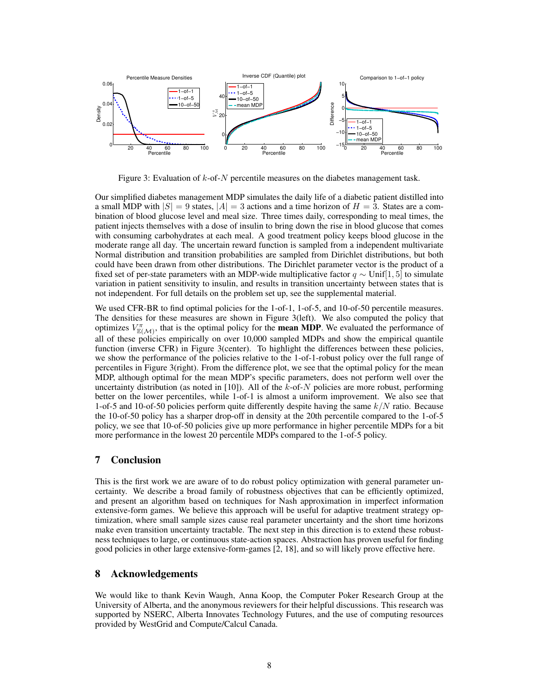

Figure 3: Evaluation of  $k$ -of- $N$  percentile measures on the diabetes management task.

Our simplified diabetes management MDP simulates the daily life of a diabetic patient distilled into a small MDP with  $|S| = 9$  states,  $|A| = 3$  actions and a time horizon of  $H = 3$ . States are a combination of blood glucose level and meal size. Three times daily, corresponding to meal times, the patient injects themselves with a dose of insulin to bring down the rise in blood glucose that comes with consuming carbohydrates at each meal. A good treatment policy keeps blood glucose in the moderate range all day. The uncertain reward function is sampled from a independent multivariate Normal distribution and transition probabilities are sampled from Dirichlet distributions, but both could have been drawn from other distributions. The Dirichlet parameter vector is the product of a fixed set of per-state parameters with an MDP-wide multiplicative factor  $q \sim \text{Unif}[1, 5]$  to simulate variation in patient sensitivity to insulin, and results in transition uncertainty between states that is not independent. For full details on the problem set up, see the supplemental material.

We used CFR-BR to find optimal policies for the 1-of-1, 1-of-5, and 10-of-50 percentile measures. The densities for these measures are shown in Figure 3(left). We also computed the policy that optimizes  $V_{\mathbb{E}(\mathcal{M})}^{\pi}$ , that is the optimal policy for the **mean MDP**. We evaluated the performance of all of these policies empirically on over 10,000 sampled MDPs and show the empirical quantile function (inverse CFR) in Figure 3(center). To highlight the differences between these policies, we show the performance of the policies relative to the 1-of-1-robust policy over the full range of percentiles in Figure 3(right). From the difference plot, we see that the optimal policy for the mean MDP, although optimal for the mean MDP's specific parameters, does not perform well over the uncertainty distribution (as noted in [10]). All of the  $k$ -of- $N$  policies are more robust, performing better on the lower percentiles, while 1-of-1 is almost a uniform improvement. We also see that 1-of-5 and 10-of-50 policies perform quite differently despite having the same  $k/N$  ratio. Because the 10-of-50 policy has a sharper drop-off in density at the 20th percentile compared to the 1-of-5 policy, we see that 10-of-50 policies give up more performance in higher percentile MDPs for a bit more performance in the lowest 20 percentile MDPs compared to the 1-of-5 policy.

# 7 Conclusion

This is the first work we are aware of to do robust policy optimization with general parameter uncertainty. We describe a broad family of robustness objectives that can be efficiently optimized, and present an algorithm based on techniques for Nash approximation in imperfect information extensive-form games. We believe this approach will be useful for adaptive treatment strategy optimization, where small sample sizes cause real parameter uncertainty and the short time horizons make even transition uncertainty tractable. The next step in this direction is to extend these robustness techniques to large, or continuous state-action spaces. Abstraction has proven useful for finding good policies in other large extensive-form-games [2, 18], and so will likely prove effective here.

# 8 Acknowledgements

We would like to thank Kevin Waugh, Anna Koop, the Computer Poker Research Group at the University of Alberta, and the anonymous reviewers for their helpful discussions. This research was supported by NSERC, Alberta Innovates Technology Futures, and the use of computing resources provided by WestGrid and Compute/Calcul Canada.